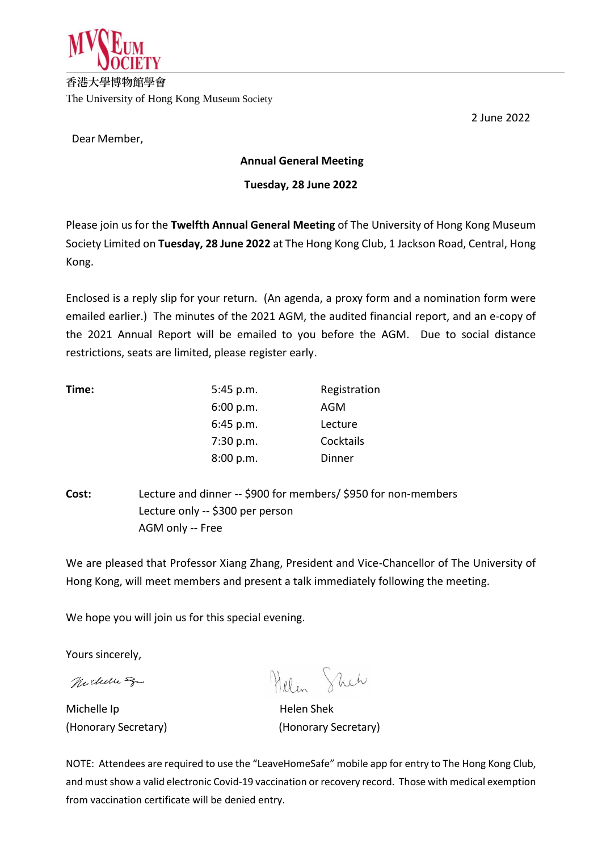

**香港大學博物館學會** The University of Hong Kong Museum Society

Dear Member,

**Annual General Meeting**

## **Tuesday, 28 June 2022**

Please join us for the **Twelfth Annual General Meeting** of The University of Hong Kong Museum Society Limited on **Tuesday, 28 June 2022** at The Hong Kong Club, 1 Jackson Road, Central, Hong Kong.

Enclosed is a reply slip for your return. (An agenda, a proxy form and a nomination form were emailed earlier.) The minutes of the 2021 AGM, the audited financial report, and an e-copy of the 2021 Annual Report will be emailed to you before the AGM. Due to social distance restrictions, seats are limited, please register early.

| Time: | 5:45 p.m. | Registration |
|-------|-----------|--------------|
|       | 6:00 p.m. | AGM          |
|       | 6:45 p.m. | Lecture      |
|       | 7:30 p.m. | Cocktails    |
|       | 8:00 p.m. | Dinner       |
|       |           |              |

**Cost:** Lecture and dinner -- \$900 for members/ \$950 for non-members Lecture only -- \$300 per person AGM only -- Free

We are pleased that Professor Xiang Zhang, President and Vice-Chancellor of The University of Hong Kong, will meet members and present a talk immediately following the meeting.

We hope you will join us for this special evening.

Yours sincerely,

Michelle Spa

Michelle Ip **Helen** Shek

Helen Sheh

(Honorary Secretary) (Honorary Secretary)

NOTE: Attendees are required to use the "LeaveHomeSafe" mobile app for entry to The Hong Kong Club, and must show a valid electronic Covid-19 vaccination or recovery record. Those with medical exemption from vaccination certificate will be denied entry.

2 June 2022